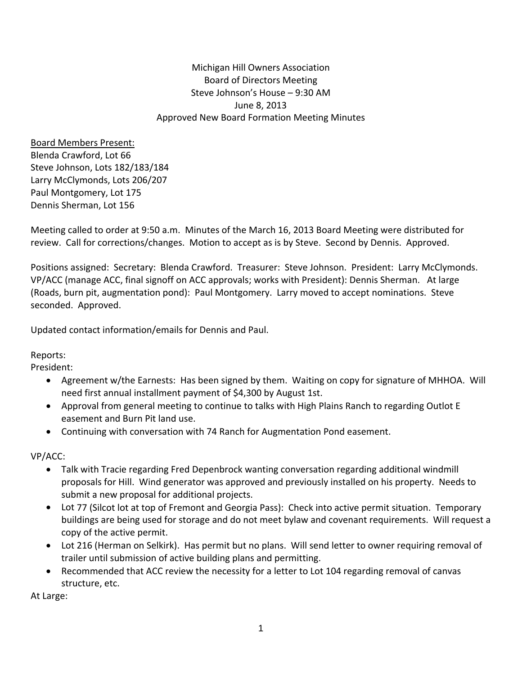Michigan Hill Owners Association Board of Directors Meeting Steve Johnson's House – 9:30 AM June 8, 2013 Approved New Board Formation Meeting Minutes

Board Members Present: Blenda Crawford, Lot 66 Steve Johnson, Lots 182/183/184 Larry McClymonds, Lots 206/207 Paul Montgomery, Lot 175 Dennis Sherman, Lot 156

Meeting called to order at 9:50 a.m. Minutes of the March 16, 2013 Board Meeting were distributed for review. Call for corrections/changes. Motion to accept as is by Steve. Second by Dennis. Approved.

Positions assigned: Secretary: Blenda Crawford. Treasurer: Steve Johnson. President: Larry McClymonds. VP/ACC (manage ACC, final signoff on ACC approvals; works with President): Dennis Sherman. At large (Roads, burn pit, augmentation pond): Paul Montgomery. Larry moved to accept nominations. Steve seconded. Approved.

Updated contact information/emails for Dennis and Paul.

Reports:

President:

- Agreement w/the Earnests: Has been signed by them. Waiting on copy for signature of MHHOA. Will need first annual installment payment of \$4,300 by August 1st.
- Approval from general meeting to continue to talks with High Plains Ranch to regarding Outlot E easement and Burn Pit land use.
- Continuing with conversation with 74 Ranch for Augmentation Pond easement.

VP/ACC:

- Talk with Tracie regarding Fred Depenbrock wanting conversation regarding additional windmill proposals for Hill. Wind generator was approved and previously installed on his property. Needs to submit a new proposal for additional projects.
- Lot 77 (Silcot lot at top of Fremont and Georgia Pass): Check into active permit situation. Temporary buildings are being used for storage and do not meet bylaw and covenant requirements. Will request a copy of the active permit.
- Lot 216 (Herman on Selkirk). Has permit but no plans. Will send letter to owner requiring removal of trailer until submission of active building plans and permitting.
- Recommended that ACC review the necessity for a letter to Lot 104 regarding removal of canvas structure, etc.

At Large: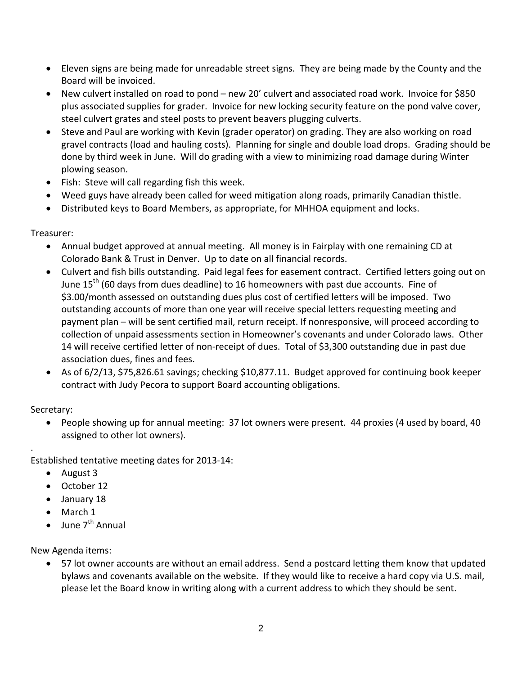- Eleven signs are being made for unreadable street signs. They are being made by the County and the Board will be invoiced.
- New culvert installed on road to pond new 20' culvert and associated road work. Invoice for \$850 plus associated supplies for grader. Invoice for new locking security feature on the pond valve cover, steel culvert grates and steel posts to prevent beavers plugging culverts.
- Steve and Paul are working with Kevin (grader operator) on grading. They are also working on road gravel contracts (load and hauling costs). Planning for single and double load drops. Grading should be done by third week in June. Will do grading with a view to minimizing road damage during Winter plowing season.
- Fish: Steve will call regarding fish this week.
- Weed guys have already been called for weed mitigation along roads, primarily Canadian thistle.
- Distributed keys to Board Members, as appropriate, for MHHOA equipment and locks.

## Treasurer:

- Annual budget approved at annual meeting. All money is in Fairplay with one remaining CD at Colorado Bank & Trust in Denver. Up to date on all financial records.
- Culvert and fish bills outstanding. Paid legal fees for easement contract. Certified letters going out on June  $15<sup>th</sup>$  (60 days from dues deadline) to 16 homeowners with past due accounts. Fine of \$3.00/month assessed on outstanding dues plus cost of certified letters will be imposed. Two outstanding accounts of more than one year will receive special letters requesting meeting and payment plan – will be sent certified mail, return receipt. If nonresponsive, will proceed according to collection of unpaid assessments section in Homeowner's covenants and under Colorado laws. Other 14 will receive certified letter of non‐receipt of dues. Total of \$3,300 outstanding due in past due association dues, fines and fees.
- As of  $6/2/13$ , \$75,826.61 savings; checking \$10,877.11. Budget approved for continuing book keeper contract with Judy Pecora to support Board accounting obligations.

## Secretary:

.

• People showing up for annual meeting: 37 lot owners were present. 44 proxies (4 used by board, 40 assigned to other lot owners).

Established tentative meeting dates for 2013‐14:

- August 3
- October 12
- January 18
- March 1
- June  $7^{th}$  Annual

New Agenda items:

• 57 lot owner accounts are without an email address. Send a postcard letting them know that updated bylaws and covenants available on the website. If they would like to receive a hard copy via U.S. mail, please let the Board know in writing along with a current address to which they should be sent.